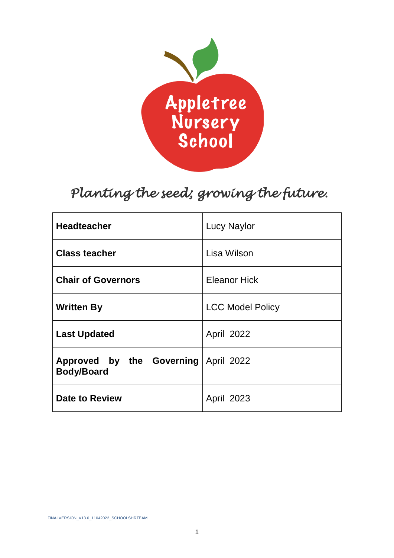

# *Planting the seed; growing the future.*

| <b>Headteacher</b>                                        | <b>Lucy Naylor</b>      |
|-----------------------------------------------------------|-------------------------|
| <b>Class teacher</b>                                      | Lisa Wilson             |
| <b>Chair of Governors</b>                                 | <b>Eleanor Hick</b>     |
| <b>Written By</b>                                         | <b>LCC Model Policy</b> |
| <b>Last Updated</b>                                       | April 2022              |
| Approved by the Governing April 2022<br><b>Body/Board</b> |                         |
| <b>Date to Review</b>                                     | April 2023              |

FINALVERSION\_V13.0\_11042022\_SCHOOLSHRTEAM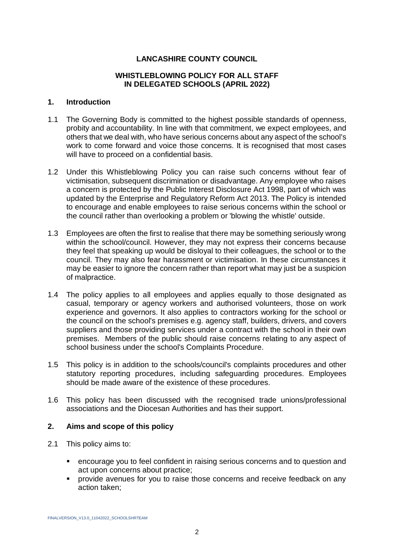## **LANCASHIRE COUNTY COUNCIL**

### **WHISTLEBLOWING POLICY FOR ALL STAFF IN DELEGATED SCHOOLS (APRIL 2022)**

#### **1. Introduction**

- 1.1 The Governing Body is committed to the highest possible standards of openness, probity and accountability. In line with that commitment, we expect employees, and others that we deal with, who have serious concerns about any aspect of the school's work to come forward and voice those concerns. It is recognised that most cases will have to proceed on a confidential basis.
- 1.2 Under this Whistleblowing Policy you can raise such concerns without fear of victimisation, subsequent discrimination or disadvantage. Any employee who raises a concern is protected by the Public Interest Disclosure Act 1998, part of which was updated by the Enterprise and Regulatory Reform Act 2013. The Policy is intended to encourage and enable employees to raise serious concerns within the school or the council rather than overlooking a problem or 'blowing the whistle' outside.
- 1.3 Employees are often the first to realise that there may be something seriously wrong within the school/council. However, they may not express their concerns because they feel that speaking up would be disloyal to their colleagues, the school or to the council. They may also fear harassment or victimisation. In these circumstances it may be easier to ignore the concern rather than report what may just be a suspicion of malpractice.
- 1.4 The policy applies to all employees and applies equally to those designated as casual, temporary or agency workers and authorised volunteers, those on work experience and governors. It also applies to contractors working for the school or the council on the school's premises e.g. agency staff, builders, drivers, and covers suppliers and those providing services under a contract with the school in their own premises. Members of the public should raise concerns relating to any aspect of school business under the school's Complaints Procedure.
- 1.5 This policy is in addition to the schools/council's complaints procedures and other statutory reporting procedures, including safeguarding procedures. Employees should be made aware of the existence of these procedures.
- 1.6 This policy has been discussed with the recognised trade unions/professional associations and the Diocesan Authorities and has their support.

### **2. Aims and scope of this policy**

- 2.1 This policy aims to:
	- encourage you to feel confident in raising serious concerns and to question and act upon concerns about practice;
	- provide avenues for you to raise those concerns and receive feedback on any action taken;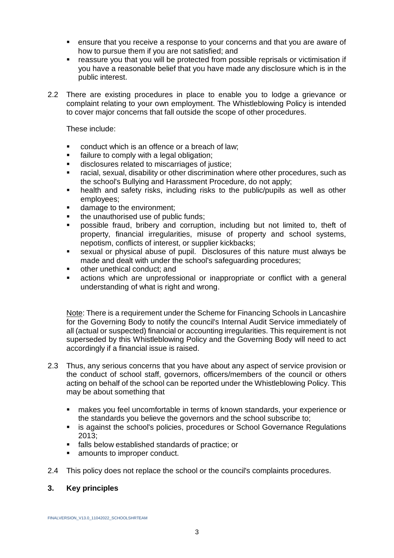- ensure that you receive a response to your concerns and that you are aware of how to pursue them if you are not satisfied; and
- reassure you that you will be protected from possible reprisals or victimisation if you have a reasonable belief that you have made any disclosure which is in the public interest.
- 2.2 There are existing procedures in place to enable you to lodge a grievance or complaint relating to your own employment. The Whistleblowing Policy is intended to cover major concerns that fall outside the scope of other procedures.

These include:

- conduct which is an offence or a breach of law:
- failure to comply with a legal obligation;
- disclosures related to miscarriages of justice;
- racial, sexual, disability or other discrimination where other procedures, such as the school's Bullying and Harassment Procedure, do not apply;
- health and safety risks, including risks to the public/pupils as well as other employees;
- damage to the environment:
- the unauthorised use of public funds;
- possible fraud, bribery and corruption, including but not limited to, theft of property, financial irregularities, misuse of property and school systems, nepotism, conflicts of interest, or supplier kickbacks;
- sexual or physical abuse of pupil. Disclosures of this nature must always be made and dealt with under the school's safeguarding procedures;
- other unethical conduct; and
- actions which are unprofessional or inappropriate or conflict with a general understanding of what is right and wrong.

Note: There is a requirement under the Scheme for Financing Schools in Lancashire for the Governing Body to notify the council's Internal Audit Service immediately of all (actual or suspected) financial or accounting irregularities. This requirement is not superseded by this Whistleblowing Policy and the Governing Body will need to act accordingly if a financial issue is raised.

- 2.3 Thus, any serious concerns that you have about any aspect of service provision or the conduct of school staff, governors, officers/members of the council or others acting on behalf of the school can be reported under the Whistleblowing Policy. This may be about something that
	- makes you feel uncomfortable in terms of known standards, your experience or the standards you believe the governors and the school subscribe to;
	- is against the school's policies, procedures or School Governance Regulations 2013;
	- falls below established standards of practice; or
	- amounts to improper conduct.
- 2.4 This policy does not replace the school or the council's complaints procedures.

### **3. Key principles**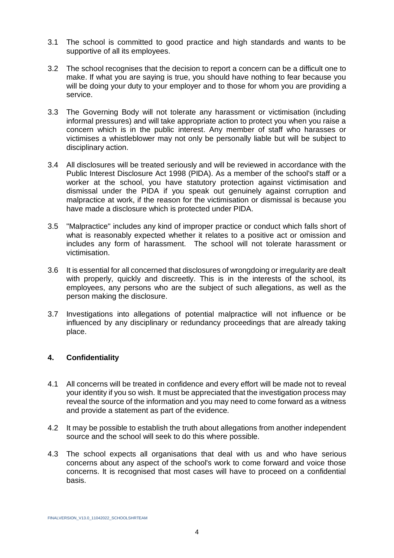- 3.1 The school is committed to good practice and high standards and wants to be supportive of all its employees.
- 3.2 The school recognises that the decision to report a concern can be a difficult one to make. If what you are saying is true, you should have nothing to fear because you will be doing your duty to your employer and to those for whom you are providing a service.
- 3.3 The Governing Body will not tolerate any harassment or victimisation (including informal pressures) and will take appropriate action to protect you when you raise a concern which is in the public interest. Any member of staff who harasses or victimises a whistleblower may not only be personally liable but will be subject to disciplinary action.
- 3.4 All disclosures will be treated seriously and will be reviewed in accordance with the Public Interest Disclosure Act 1998 (PIDA). As a member of the school's staff or a worker at the school, you have statutory protection against victimisation and dismissal under the PIDA if you speak out genuinely against corruption and malpractice at work, if the reason for the victimisation or dismissal is because you have made a disclosure which is protected under PIDA.
- 3.5 "Malpractice" includes any kind of improper practice or conduct which falls short of what is reasonably expected whether it relates to a positive act or omission and includes any form of harassment. The school will not tolerate harassment or victimisation.
- 3.6 It is essential for all concerned that disclosures of wrongdoing or irregularity are dealt with properly, quickly and discreetly. This is in the interests of the school, its employees, any persons who are the subject of such allegations, as well as the person making the disclosure.
- 3.7 Investigations into allegations of potential malpractice will not influence or be influenced by any disciplinary or redundancy proceedings that are already taking place.

## **4. Confidentiality**

- 4.1 All concerns will be treated in confidence and every effort will be made not to reveal your identity if you so wish. It must be appreciated that the investigation process may reveal the source of the information and you may need to come forward as a witness and provide a statement as part of the evidence.
- 4.2 It may be possible to establish the truth about allegations from another independent source and the school will seek to do this where possible.
- 4.3 The school expects all organisations that deal with us and who have serious concerns about any aspect of the school's work to come forward and voice those concerns. It is recognised that most cases will have to proceed on a confidential basis.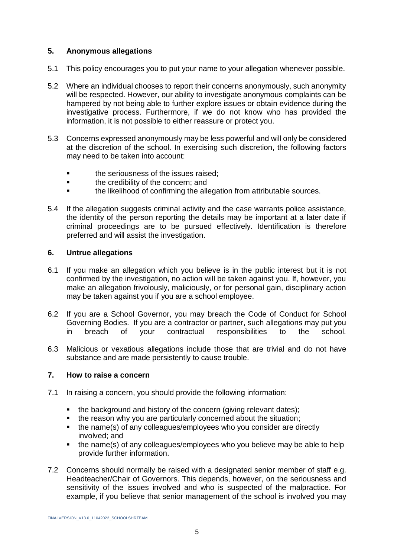## **5. Anonymous allegations**

- 5.1 This policy encourages you to put your name to your allegation whenever possible.
- 5.2 Where an individual chooses to report their concerns anonymously, such anonymity will be respected. However, our ability to investigate anonymous complaints can be hampered by not being able to further explore issues or obtain evidence during the investigative process. Furthermore, if we do not know who has provided the information, it is not possible to either reassure or protect you.
- 5.3 Concerns expressed anonymously may be less powerful and will only be considered at the discretion of the school. In exercising such discretion, the following factors may need to be taken into account:
	- the seriousness of the issues raised;
	- **■** the credibility of the concern; and
	- the likelihood of confirming the allegation from attributable sources.
- 5.4 If the allegation suggests criminal activity and the case warrants police assistance, the identity of the person reporting the details may be important at a later date if criminal proceedings are to be pursued effectively. Identification is therefore preferred and will assist the investigation.

## **6. Untrue allegations**

- 6.1 If you make an allegation which you believe is in the public interest but it is not confirmed by the investigation, no action will be taken against you. If, however, you make an allegation frivolously, maliciously, or for personal gain, disciplinary action may be taken against you if you are a school employee.
- 6.2 If you are a School Governor, you may breach the Code of Conduct for School Governing Bodies. If you are a contractor or partner, such allegations may put you in breach of your contractual responsibilities to the school.
- 6.3 Malicious or vexatious allegations include those that are trivial and do not have substance and are made persistently to cause trouble.

## **7. How to raise a concern**

- 7.1 In raising a concern, you should provide the following information:
	- the background and history of the concern (giving relevant dates);
	- the reason why you are particularly concerned about the situation:
	- the name(s) of any colleagues/employees who you consider are directly involved; and
	- the name(s) of any colleagues/employees who you believe may be able to help provide further information.
- 7.2 Concerns should normally be raised with a designated senior member of staff e.g. Headteacher/Chair of Governors. This depends, however, on the seriousness and sensitivity of the issues involved and who is suspected of the malpractice. For example, if you believe that senior management of the school is involved you may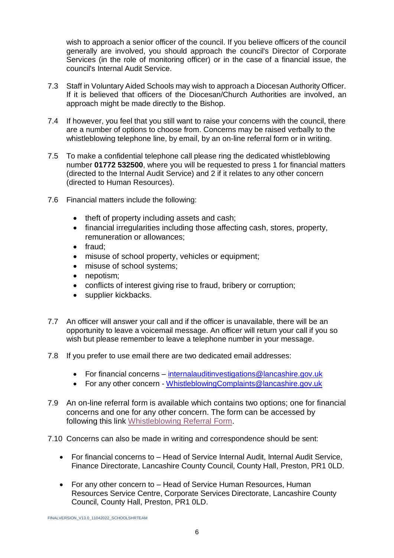wish to approach a senior officer of the council. If you believe officers of the council generally are involved, you should approach the council's Director of Corporate Services (in the role of monitoring officer) or in the case of a financial issue, the council's Internal Audit Service.

- 7.3 Staff in Voluntary Aided Schools may wish to approach a Diocesan Authority Officer. If it is believed that officers of the Diocesan/Church Authorities are involved, an approach might be made directly to the Bishop.
- 7.4 If however, you feel that you still want to raise your concerns with the council, there are a number of options to choose from. Concerns may be raised verbally to the whistleblowing telephone line, by email, by an on-line referral form or in writing.
- 7.5 To make a confidential telephone call please ring the dedicated whistleblowing number **01772 532500**, where you will be requested to press 1 for financial matters (directed to the Internal Audit Service) and 2 if it relates to any other concern (directed to Human Resources).
- 7.6 Financial matters include the following:
	- theft of property including assets and cash;
	- financial irregularities including those affecting cash, stores, property, remuneration or allowances;
	- fraud;
	- misuse of school property, vehicles or equipment;
	- misuse of school systems;
	- nepotism:
	- conflicts of interest giving rise to fraud, bribery or corruption;
	- supplier kickbacks.
- 7.7 An officer will answer your call and if the officer is unavailable, there will be an opportunity to leave a voicemail message. An officer will return your call if you so wish but please remember to leave a telephone number in your message.
- 7.8 If you prefer to use email there are two dedicated email addresses:
	- For financial concerns [internalauditinvestigations@lancashire.gov.uk](mailto:internalauditinvestigations@lancashire.gov.uk)
	- For any other concern [WhistleblowingComplaints@lancashire.gov.uk](mailto:WhistleblowingComplaints@lancashire.gov.uk)
- 7.9 An on-line referral form is available which contains two options; one for financial concerns and one for any other concern. The form can be accessed by following this link [Whistleblowing Referral Form.](https://lancashire-self.achieveservice.com/service/Whistle_Blowing_Referral)
- 7.10 Concerns can also be made in writing and correspondence should be sent:
	- For financial concerns to Head of Service Internal Audit, Internal Audit Service, Finance Directorate, Lancashire County Council, County Hall, Preston, PR1 0LD.
	- For any other concern to Head of Service Human Resources, Human Resources Service Centre, Corporate Services Directorate, Lancashire County Council, County Hall, Preston, PR1 0LD.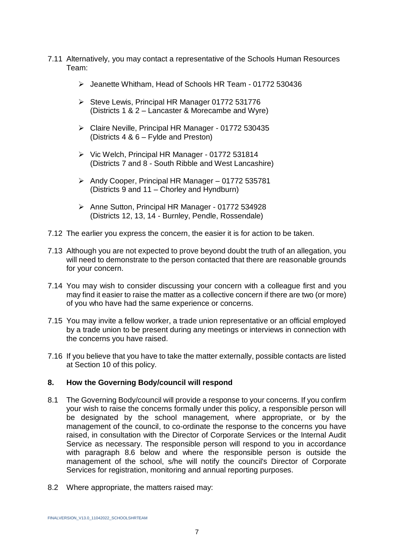- 7.11 Alternatively, you may contact a representative of the Schools Human Resources Team:
	- ➢ Jeanette Whitham, Head of Schools HR Team 01772 530436
	- ➢ Steve Lewis, Principal HR Manager 01772 531776 (Districts 1 & 2 – Lancaster & Morecambe and Wyre)
	- ➢ Claire Neville, Principal HR Manager 01772 530435 (Districts 4 & 6 – Fylde and Preston)
	- ➢ Vic Welch, Principal HR Manager 01772 531814 (Districts 7 and 8 - South Ribble and West Lancashire)
	- ➢ Andy Cooper, Principal HR Manager 01772 535781 (Districts 9 and 11 – Chorley and Hyndburn)
	- ➢ Anne Sutton, Principal HR Manager 01772 534928 (Districts 12, 13, 14 - Burnley, Pendle, Rossendale)
- 7.12 The earlier you express the concern, the easier it is for action to be taken.
- 7.13 Although you are not expected to prove beyond doubt the truth of an allegation, you will need to demonstrate to the person contacted that there are reasonable grounds for your concern.
- 7.14 You may wish to consider discussing your concern with a colleague first and you may find it easier to raise the matter as a collective concern if there are two (or more) of you who have had the same experience or concerns.
- 7.15 You may invite a fellow worker, a trade union representative or an official employed by a trade union to be present during any meetings or interviews in connection with the concerns you have raised.
- 7.16 If you believe that you have to take the matter externally, possible contacts are listed at Section 10 of this policy.

### **8. How the Governing Body/council will respond**

- 8.1 The Governing Body/council will provide a response to your concerns. If you confirm your wish to raise the concerns formally under this policy, a responsible person will be designated by the school management, where appropriate, or by the management of the council, to co-ordinate the response to the concerns you have raised, in consultation with the Director of Corporate Services or the Internal Audit Service as necessary. The responsible person will respond to you in accordance with paragraph 8.6 below and where the responsible person is outside the management of the school, s/he will notify the council's Director of Corporate Services for registration, monitoring and annual reporting purposes.
- 8.2 Where appropriate, the matters raised may: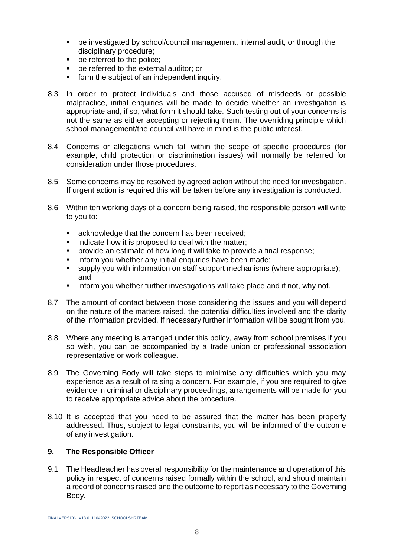- be investigated by school/council management, internal audit, or through the disciplinary procedure;
- be referred to the police:
- be referred to the external auditor; or
- form the subject of an independent inquiry.
- 8.3 In order to protect individuals and those accused of misdeeds or possible malpractice, initial enquiries will be made to decide whether an investigation is appropriate and, if so, what form it should take. Such testing out of your concerns is not the same as either accepting or rejecting them. The overriding principle which school management/the council will have in mind is the public interest.
- 8.4 Concerns or allegations which fall within the scope of specific procedures (for example, child protection or discrimination issues) will normally be referred for consideration under those procedures.
- 8.5 Some concerns may be resolved by agreed action without the need for investigation. If urgent action is required this will be taken before any investigation is conducted.
- 8.6 Within ten working days of a concern being raised, the responsible person will write to you to:
	- acknowledge that the concern has been received;
	- indicate how it is proposed to deal with the matter;
	- provide an estimate of how long it will take to provide a final response:
	- inform you whether any initial enquiries have been made;
	- supply you with information on staff support mechanisms (where appropriate); and
	- **EXECT** inform you whether further investigations will take place and if not, why not.
- 8.7 The amount of contact between those considering the issues and you will depend on the nature of the matters raised, the potential difficulties involved and the clarity of the information provided. If necessary further information will be sought from you.
- 8.8 Where any meeting is arranged under this policy, away from school premises if you so wish, you can be accompanied by a trade union or professional association representative or work colleague.
- 8.9 The Governing Body will take steps to minimise any difficulties which you may experience as a result of raising a concern. For example, if you are required to give evidence in criminal or disciplinary proceedings, arrangements will be made for you to receive appropriate advice about the procedure.
- 8.10 It is accepted that you need to be assured that the matter has been properly addressed. Thus, subject to legal constraints, you will be informed of the outcome of any investigation.

## **9. The Responsible Officer**

9.1 The Headteacher has overall responsibility for the maintenance and operation of this policy in respect of concerns raised formally within the school, and should maintain a record of concerns raised and the outcome to report as necessary to the Governing Body.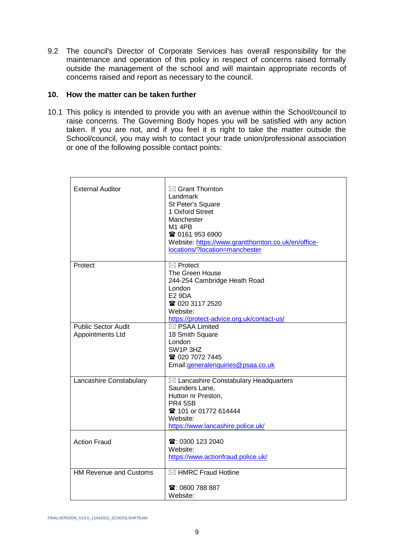9.2 The council's Director of Corporate Services has overall responsibility for the maintenance and operation of this policy in respect of concerns raised formally outside the management of the school and will maintain appropriate records of concerns raised and report as necessary to the council.

### **10. How the matter can be taken further**

10.1 This policy is intended to provide you with an avenue within the School/council to raise concerns. The Governing Body hopes you will be satisfied with any action taken. If you are not, and if you feel it is right to take the matter outside the School/council, you may wish to contact your trade union/professional association or one of the following possible contact points:

| <b>External Auditor</b>                        | $\boxtimes$ Grant Thornton<br>Landmark<br>St Peter's Square<br>1 Oxford Street<br>Manchester<br>M1 4PB<br>☎ 0161 953 6900<br>Website: https://www.grantthornton.co.uk/en/office-<br>locations/?location=manchester |
|------------------------------------------------|--------------------------------------------------------------------------------------------------------------------------------------------------------------------------------------------------------------------|
| Protect                                        | $\boxtimes$ Protect<br>The Green House<br>244-254 Cambridge Heath Road<br>London<br><b>E2 9DA</b><br>☎ 020 3117 2520<br>Website:<br>https://protect-advice.org.uk/contact-us/                                      |
| <b>Public Sector Audit</b><br>Appointments Ltd | $\boxtimes$ PSAA Limited<br>18 Smith Square<br>London<br>SW1P 3HZ<br>☎ 020 7072 7445<br>Email: generalenquiries@psaa.co.uk                                                                                         |
| Lancashire Constabulary                        | $\boxtimes$ Lancashire Constabulary Headquarters<br>Saunders Lane,<br>Hutton nr Preston,<br><b>PR4 5SB</b><br><b>雷 101 or 01772 614444</b><br>Website:<br>https://www.lancashire.police.uk/                        |
| <b>Action Fraud</b>                            | ☎: 0300 123 2040<br>Website:<br>https://www.actionfraud.police.uk/                                                                                                                                                 |
| <b>HM Revenue and Customs</b>                  | $\boxtimes$ HMRC Fraud Hotline<br>$\mathbf{\widehat{m}}$ : 0800 788 887<br>Website:                                                                                                                                |